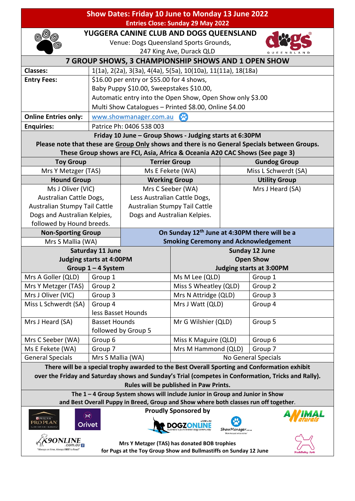| <b>Show Dates: Friday 10 June to Monday 13 June 2022</b> |                                                           |                                                              |                                                                                                                   |                       |                                                                                                     |  |  |
|----------------------------------------------------------|-----------------------------------------------------------|--------------------------------------------------------------|-------------------------------------------------------------------------------------------------------------------|-----------------------|-----------------------------------------------------------------------------------------------------|--|--|
| <b>Entries Close: Sunday 29 May 2022</b>                 |                                                           |                                                              |                                                                                                                   |                       |                                                                                                     |  |  |
| YUGGERA CANINE CLUB AND DOGS QUEENSLAND                  |                                                           |                                                              |                                                                                                                   |                       |                                                                                                     |  |  |
|                                                          | Venue: Dogs Queensland Sports Grounds,                    |                                                              |                                                                                                                   |                       |                                                                                                     |  |  |
| 247 King Ave, Durack QLD                                 |                                                           |                                                              |                                                                                                                   |                       |                                                                                                     |  |  |
| 7 GROUP SHOWS, 3 CHAMPIONSHIP SHOWS AND 1 OPEN SHOW      |                                                           |                                                              |                                                                                                                   |                       |                                                                                                     |  |  |
| <b>Classes:</b>                                          |                                                           | 1(1a), 2(2a), 3(3a), 4(4a), 5(5a), 10(10a), 11(11a), 18(18a) |                                                                                                                   |                       |                                                                                                     |  |  |
| <b>Entry Fees:</b>                                       |                                                           | \$16.00 per entry or \$55.00 for 4 shows,                    |                                                                                                                   |                       |                                                                                                     |  |  |
|                                                          |                                                           | Baby Puppy \$10.00, Sweepstakes \$10.00,                     |                                                                                                                   |                       |                                                                                                     |  |  |
|                                                          | Automatic entry into the Open Show, Open Show only \$3.00 |                                                              |                                                                                                                   |                       |                                                                                                     |  |  |
|                                                          | Multi Show Catalogues - Printed \$8.00, Online \$4.00     |                                                              |                                                                                                                   |                       |                                                                                                     |  |  |
| <b>Online Entries only:</b>                              | <b>CHO</b><br>www.showmanager.com.au                      |                                                              |                                                                                                                   |                       |                                                                                                     |  |  |
| <b>Enquiries:</b>                                        |                                                           | Patrice Ph: 0406 538 003                                     |                                                                                                                   |                       |                                                                                                     |  |  |
| Friday 10 June - Group Shows - Judging starts at 6:30PM  |                                                           |                                                              |                                                                                                                   |                       |                                                                                                     |  |  |
|                                                          |                                                           |                                                              |                                                                                                                   |                       | Please note that these are Group Only shows and there is no General Specials between Groups.        |  |  |
|                                                          |                                                           |                                                              | These Group shows are FCI, Asia, Africa & Oceania A20 CAC Shows (See page 3)                                      |                       |                                                                                                     |  |  |
| <b>Toy Group</b>                                         |                                                           | <b>Terrier Group</b>                                         |                                                                                                                   |                       | <b>Gundog Group</b>                                                                                 |  |  |
| Mrs Y Metzger (TAS)                                      |                                                           | Ms E Fekete (WA)                                             |                                                                                                                   |                       | Miss L Schwerdt (SA)                                                                                |  |  |
| <b>Hound Group</b>                                       |                                                           | <b>Working Group</b>                                         |                                                                                                                   |                       | <b>Utility Group</b>                                                                                |  |  |
| Ms J Oliver (VIC)                                        |                                                           | Mrs C Seeber (WA)                                            |                                                                                                                   |                       | Mrs J Heard (SA)                                                                                    |  |  |
| Australian Cattle Dogs,                                  |                                                           | Less Australian Cattle Dogs,                                 |                                                                                                                   |                       |                                                                                                     |  |  |
| Australian Stumpy Tail Cattle                            |                                                           |                                                              | Australian Stumpy Tail Cattle                                                                                     |                       |                                                                                                     |  |  |
| Dogs and Australian Kelpies,                             | Dogs and Australian Kelpies.                              |                                                              |                                                                                                                   |                       |                                                                                                     |  |  |
| followed by Hound breeds.                                |                                                           |                                                              |                                                                                                                   |                       |                                                                                                     |  |  |
| <b>Non-Sporting Group</b>                                |                                                           |                                                              | On Sunday 12 <sup>th</sup> June at 4:30PM there will be a<br><b>Smoking Ceremony and Acknowledgement</b>          |                       |                                                                                                     |  |  |
| Mrs S Mallia (WA)                                        | Saturday 11 June                                          |                                                              |                                                                                                                   |                       |                                                                                                     |  |  |
|                                                          |                                                           |                                                              |                                                                                                                   | <b>Sunday 12 June</b> |                                                                                                     |  |  |
| Judging starts at 4:00PM<br>Group 1-4 System             |                                                           |                                                              | <b>Open Show</b><br><b>Judging starts at 3:00PM</b>                                                               |                       |                                                                                                     |  |  |
| Mrs A Goller (QLD)                                       | Group 1                                                   |                                                              | Ms M Lee (QLD)                                                                                                    |                       |                                                                                                     |  |  |
|                                                          |                                                           |                                                              |                                                                                                                   |                       |                                                                                                     |  |  |
|                                                          |                                                           |                                                              |                                                                                                                   |                       | Group 1                                                                                             |  |  |
| Mrs Y Metzger (TAS)                                      | Group 2                                                   |                                                              | Miss S Wheatley (QLD)                                                                                             |                       | Group 2                                                                                             |  |  |
| Mrs J Oliver (VIC)                                       | Group 3                                                   |                                                              | Mrs N Attridge (QLD)                                                                                              |                       | Group 3                                                                                             |  |  |
| Miss L Schwerdt (SA)                                     | Group 4<br>less Basset Hounds                             |                                                              | Mrs J Watt (QLD)                                                                                                  |                       | Group 4                                                                                             |  |  |
| Mrs J Heard (SA)                                         | <b>Basset Hounds</b>                                      |                                                              | Mr G Wilshier (QLD)                                                                                               |                       | Group 5                                                                                             |  |  |
|                                                          |                                                           | followed by Group 5                                          |                                                                                                                   |                       |                                                                                                     |  |  |
| Mrs C Seeber (WA)                                        | Group 6                                                   |                                                              | Miss K Maguire (QLD)                                                                                              |                       | Group 6                                                                                             |  |  |
| Ms E Fekete (WA)                                         | Group 7                                                   |                                                              | Mrs M Hammond (QLD)                                                                                               |                       | Group 7                                                                                             |  |  |
| <b>General Specials</b>                                  | Mrs S Mallia (WA)                                         |                                                              |                                                                                                                   |                       | No General Specials                                                                                 |  |  |
|                                                          |                                                           |                                                              |                                                                                                                   |                       | There will be a special trophy awarded to the Best Overall Sporting and Conformation exhibit        |  |  |
|                                                          |                                                           |                                                              |                                                                                                                   |                       | over the Friday and Saturday shows and Sunday's Trial (competes in Conformation, Tricks and Rally). |  |  |
|                                                          |                                                           |                                                              | Rules will be published in Paw Prints.                                                                            |                       |                                                                                                     |  |  |
|                                                          |                                                           |                                                              | The $1 - 4$ Group System shows will include Junior in Group and Junior in Show                                    |                       |                                                                                                     |  |  |
|                                                          |                                                           |                                                              | and Best Overall Puppy in Breed, Group and Show where both classes run off together.                              |                       |                                                                                                     |  |  |
| $\mathbf{\hat{x}}$                                       |                                                           |                                                              | <b>Proudly Sponsored by</b>                                                                                       |                       |                                                                                                     |  |  |
| PURINA<br>PRO PLAN<br><b>RITON THAT PERFORM</b>          | Orivet                                                    |                                                              | - COM - AU<br>DOGZ                                                                                                |                       |                                                                                                     |  |  |
|                                                          |                                                           |                                                              |                                                                                                                   | ShowManager           |                                                                                                     |  |  |
|                                                          |                                                           |                                                              | Mrs Y Metzger (TAS) has donated BOB trophies<br>for Pugs at the Toy Group Show and Bullmastiffs on Sunday 12 June |                       |                                                                                                     |  |  |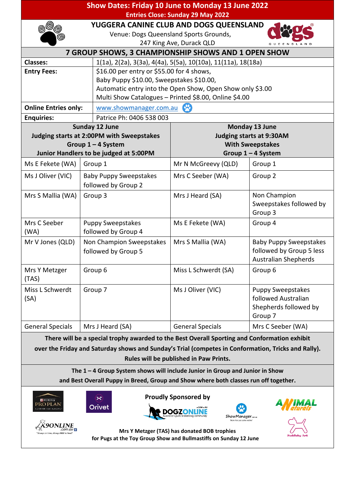| <b>Show Dates: Friday 10 June to Monday 13 June 2022</b>                                                                                                               |                                                              |                                                                                                                                   |                                                           |  |  |  |  |
|------------------------------------------------------------------------------------------------------------------------------------------------------------------------|--------------------------------------------------------------|-----------------------------------------------------------------------------------------------------------------------------------|-----------------------------------------------------------|--|--|--|--|
| <b>Entries Close: Sunday 29 May 2022</b><br>YUGGERA CANINE CLUB AND DOGS QUEENSLAND                                                                                    |                                                              |                                                                                                                                   |                                                           |  |  |  |  |
|                                                                                                                                                                        |                                                              | Venue: Dogs Queensland Sports Grounds,                                                                                            |                                                           |  |  |  |  |
| 0                                                                                                                                                                      |                                                              | 247 King Ave, Durack QLD                                                                                                          |                                                           |  |  |  |  |
| 7 GROUP SHOWS, 3 CHAMPIONSHIP SHOWS AND 1 OPEN SHOW                                                                                                                    |                                                              |                                                                                                                                   |                                                           |  |  |  |  |
| <b>Classes:</b>                                                                                                                                                        | 1(1a), 2(2a), 3(3a), 4(4a), 5(5a), 10(10a), 11(11a), 18(18a) |                                                                                                                                   |                                                           |  |  |  |  |
| <b>Entry Fees:</b>                                                                                                                                                     |                                                              | \$16.00 per entry or \$55.00 for 4 shows,                                                                                         |                                                           |  |  |  |  |
|                                                                                                                                                                        | Baby Puppy \$10.00, Sweepstakes \$10.00,                     |                                                                                                                                   |                                                           |  |  |  |  |
|                                                                                                                                                                        | Automatic entry into the Open Show, Open Show only \$3.00    |                                                                                                                                   |                                                           |  |  |  |  |
|                                                                                                                                                                        |                                                              | Multi Show Catalogues - Printed \$8.00, Online \$4.00                                                                             |                                                           |  |  |  |  |
| <b>Online Entries only:</b>                                                                                                                                            | C<br>www.showmanager.com.au                                  |                                                                                                                                   |                                                           |  |  |  |  |
| <b>Enquiries:</b>                                                                                                                                                      | Patrice Ph: 0406 538 003                                     |                                                                                                                                   |                                                           |  |  |  |  |
| <b>Sunday 12 June</b><br>Judging starts at 2:00PM with Sweepstakes                                                                                                     |                                                              | Monday 13 June<br><b>Judging starts at 9:30AM</b>                                                                                 |                                                           |  |  |  |  |
|                                                                                                                                                                        | Group 1-4 System                                             |                                                                                                                                   | <b>With Sweepstakes</b>                                   |  |  |  |  |
|                                                                                                                                                                        | Junior Handlers to be judged at 5:00PM                       | Group 1-4 System                                                                                                                  |                                                           |  |  |  |  |
| Ms E Fekete (WA)                                                                                                                                                       | Group 1                                                      | Mr N McGreevy (QLD)                                                                                                               | Group 1                                                   |  |  |  |  |
| Ms J Oliver (VIC)                                                                                                                                                      | <b>Baby Puppy Sweepstakes</b><br>followed by Group 2         | Mrs C Seeber (WA)                                                                                                                 | Group 2                                                   |  |  |  |  |
| Mrs S Mallia (WA)                                                                                                                                                      | Group 3                                                      | Mrs J Heard (SA)                                                                                                                  | Non Champion                                              |  |  |  |  |
|                                                                                                                                                                        |                                                              |                                                                                                                                   | Sweepstakes followed by                                   |  |  |  |  |
|                                                                                                                                                                        |                                                              |                                                                                                                                   | Group 3                                                   |  |  |  |  |
| Mrs C Seeber                                                                                                                                                           | <b>Puppy Sweepstakes</b>                                     | Ms E Fekete (WA)                                                                                                                  | Group 4                                                   |  |  |  |  |
| (WA)                                                                                                                                                                   | followed by Group 4                                          |                                                                                                                                   |                                                           |  |  |  |  |
| Mr V Jones (QLD)                                                                                                                                                       | Non Champion Sweepstakes<br>followed by Group 5              | Mrs S Mallia (WA)                                                                                                                 | <b>Baby Puppy Sweepstakes</b><br>followed by Group 5 less |  |  |  |  |
|                                                                                                                                                                        |                                                              |                                                                                                                                   | <b>Australian Shepherds</b>                               |  |  |  |  |
| Mrs Y Metzger                                                                                                                                                          | Group 6                                                      | Miss L Schwerdt (SA)                                                                                                              | Group 6                                                   |  |  |  |  |
| (TAS)                                                                                                                                                                  |                                                              |                                                                                                                                   |                                                           |  |  |  |  |
| Miss L Schwerdt                                                                                                                                                        | Group 7                                                      | Ms J Oliver (VIC)                                                                                                                 | <b>Puppy Sweepstakes</b>                                  |  |  |  |  |
| (SA)                                                                                                                                                                   |                                                              |                                                                                                                                   | followed Australian                                       |  |  |  |  |
|                                                                                                                                                                        |                                                              |                                                                                                                                   | Shepherds followed by                                     |  |  |  |  |
|                                                                                                                                                                        |                                                              |                                                                                                                                   | Group 7                                                   |  |  |  |  |
| <b>General Specials</b>                                                                                                                                                | Mrs J Heard (SA)                                             | <b>General Specials</b>                                                                                                           | Mrs C Seeber (WA)                                         |  |  |  |  |
| There will be a special trophy awarded to the Best Overall Sporting and Conformation exhibit                                                                           |                                                              |                                                                                                                                   |                                                           |  |  |  |  |
| over the Friday and Saturday shows and Sunday's Trial (competes in Conformation, Tricks and Rally).                                                                    |                                                              |                                                                                                                                   |                                                           |  |  |  |  |
| Rules will be published in Paw Prints.                                                                                                                                 |                                                              |                                                                                                                                   |                                                           |  |  |  |  |
| The $1 - 4$ Group System shows will include Junior in Group and Junior in Show<br>and Best Overall Puppy in Breed, Group and Show where both classes run off together. |                                                              |                                                                                                                                   |                                                           |  |  |  |  |
|                                                                                                                                                                        |                                                              |                                                                                                                                   |                                                           |  |  |  |  |
| <b>Proudly Sponsored by</b><br>$(\mathbf{x})$<br><b>PURINA</b><br>PRO PLAN                                                                                             |                                                              |                                                                                                                                   |                                                           |  |  |  |  |
|                                                                                                                                                                        |                                                              | Orivet                                                                                                                            |                                                           |  |  |  |  |
|                                                                                                                                                                        |                                                              | ShowManager<br>wore then just patine entries                                                                                      |                                                           |  |  |  |  |
|                                                                                                                                                                        |                                                              | Mrs Y Metzger (TAS) has donated BOB trophies<br>Puddlobs Art<br>for Pugs at the Toy Group Show and Bullmastiffs on Sunday 12 June |                                                           |  |  |  |  |
|                                                                                                                                                                        |                                                              |                                                                                                                                   |                                                           |  |  |  |  |